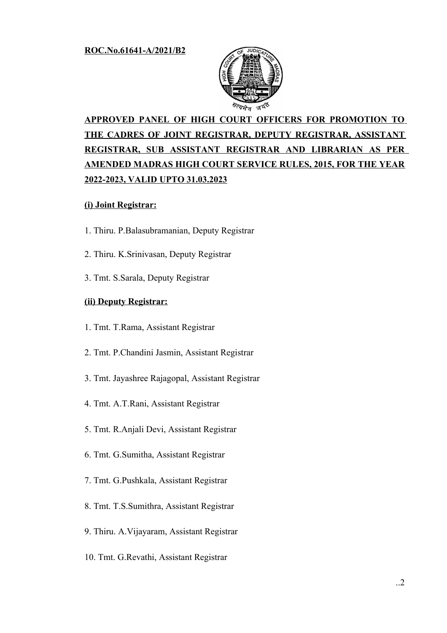

# **APPROVED PANEL OF HIGH COURT OFFICERS FOR PROMOTION TO THE CADRES OF JOINT REGISTRAR, DEPUTY REGISTRAR, ASSISTANT REGISTRAR, SUB ASSISTANT REGISTRAR AND LIBRARIAN AS PER AMENDED MADRAS HIGH COURT SERVICE RULES, 2015, FOR THE YEAR 2022-2023, VALID UPTO 31.03.2023**

### **(i) Joint Registrar:**

- 1. Thiru. P.Balasubramanian, Deputy Registrar
- 2. Thiru. K.Srinivasan, Deputy Registrar
- 3. Tmt. S.Sarala, Deputy Registrar

#### **(ii) Deputy Registrar:**

- 1. Tmt. T.Rama, Assistant Registrar
- 2. Tmt. P.Chandini Jasmin, Assistant Registrar
- 3. Tmt. Jayashree Rajagopal, Assistant Registrar
- 4. Tmt. A.T.Rani, Assistant Registrar
- 5. Tmt. R.Anjali Devi, Assistant Registrar
- 6. Tmt. G.Sumitha, Assistant Registrar
- 7. Tmt. G.Pushkala, Assistant Registrar
- 8. Tmt. T.S.Sumithra, Assistant Registrar
- 9. Thiru. A.Vijayaram, Assistant Registrar
- 10. Tmt. G.Revathi, Assistant Registrar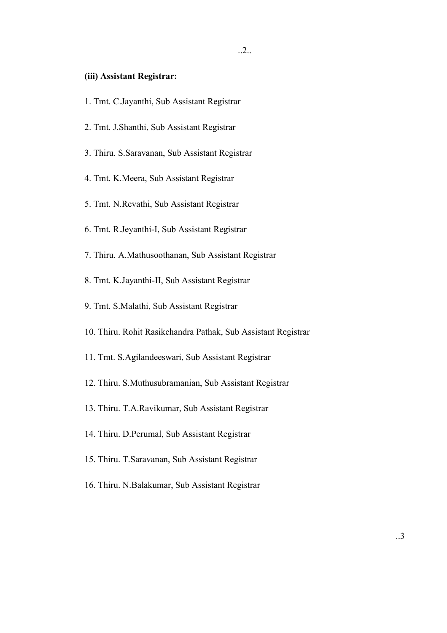#### **(iii) Assistant Registrar:**

- 1. Tmt. C.Jayanthi, Sub Assistant Registrar
- 2. Tmt. J.Shanthi, Sub Assistant Registrar
- 3. Thiru. S.Saravanan, Sub Assistant Registrar
- 4. Tmt. K.Meera, Sub Assistant Registrar
- 5. Tmt. N.Revathi, Sub Assistant Registrar
- 6. Tmt. R.Jeyanthi-I, Sub Assistant Registrar
- 7. Thiru. A.Mathusoothanan, Sub Assistant Registrar
- 8. Tmt. K.Jayanthi-II, Sub Assistant Registrar
- 9. Tmt. S.Malathi, Sub Assistant Registrar
- 10. Thiru. Rohit Rasikchandra Pathak, Sub Assistant Registrar
- 11. Tmt. S.Agilandeeswari, Sub Assistant Registrar
- 12. Thiru. S.Muthusubramanian, Sub Assistant Registrar
- 13. Thiru. T.A.Ravikumar, Sub Assistant Registrar
- 14. Thiru. D.Perumal, Sub Assistant Registrar
- 15. Thiru. T.Saravanan, Sub Assistant Registrar
- 16. Thiru. N.Balakumar, Sub Assistant Registrar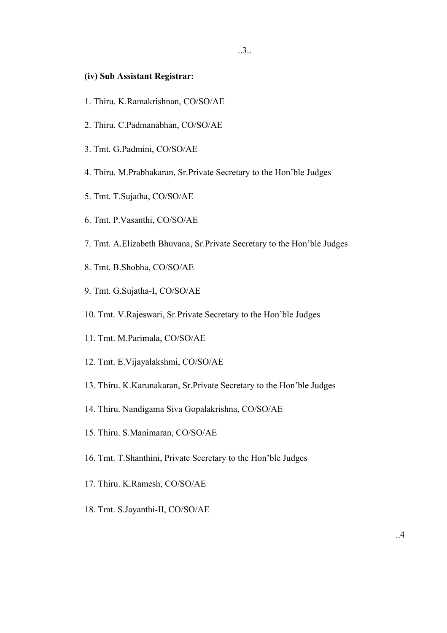#### **(iv) Sub Assistant Registrar:**

- 1. Thiru. K.Ramakrishnan, CO/SO/AE
- 2. Thiru. C.Padmanabhan, CO/SO/AE
- 3. Tmt. G.Padmini, CO/SO/AE
- 4. Thiru. M.Prabhakaran, Sr.Private Secretary to the Hon'ble Judges
- 5. Tmt. T.Sujatha, CO/SO/AE
- 6. Tmt. P.Vasanthi, CO/SO/AE
- 7. Tmt. A.Elizabeth Bhuvana, Sr.Private Secretary to the Hon'ble Judges
- 8. Tmt. B.Shobha, CO/SO/AE
- 9. Tmt. G.Sujatha-I, CO/SO/AE
- 10. Tmt. V.Rajeswari, Sr.Private Secretary to the Hon'ble Judges
- 11. Tmt. M.Parimala, CO/SO/AE
- 12. Tmt. E.Vijayalakshmi, CO/SO/AE
- 13. Thiru. K.Karunakaran, Sr.Private Secretary to the Hon'ble Judges
- 14. Thiru. Nandigama Siva Gopalakrishna, CO/SO/AE
- 15. Thiru. S.Manimaran, CO/SO/AE
- 16. Tmt. T.Shanthini, Private Secretary to the Hon'ble Judges
- 17. Thiru. K.Ramesh, CO/SO/AE
- 18. Tmt. S.Jayanthi-II, CO/SO/AE